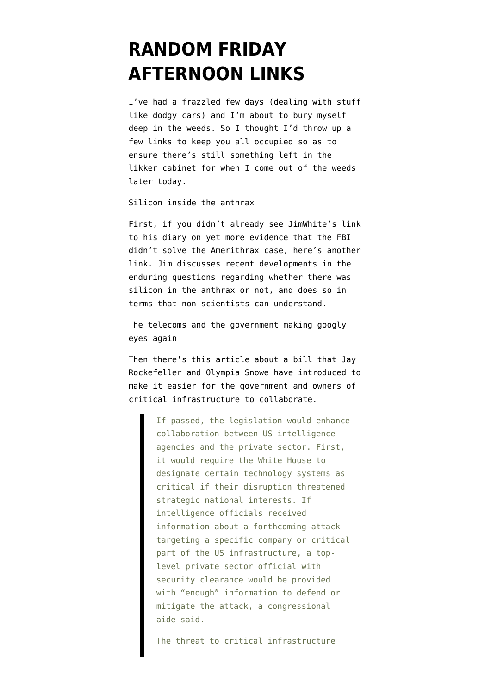## **[RANDOM FRIDAY](https://www.emptywheel.net/2010/03/19/random-friday-afternoon-links/) [AFTERNOON LINKS](https://www.emptywheel.net/2010/03/19/random-friday-afternoon-links/)**

I've had a frazzled few days (dealing with stuff like dodgy cars) and I'm about to bury myself deep in the weeds. So I thought I'd throw up a few links to keep you all occupied so as to ensure there's still something left in the likker cabinet for when I come out of the weeds later today.

Silicon inside the anthrax

First, if you didn't already see [JimWhite's link](http://seminal.firedoglake.com/diary/36075) [to his diary](http://seminal.firedoglake.com/diary/36075) on yet more evidence that the FBI didn't solve the Amerithrax case, here's [another](http://seminal.firedoglake.com/diary/36075) [link](http://seminal.firedoglake.com/diary/36075). Jim discusses recent developments in the enduring questions regarding whether there was silicon in the anthrax or not, and does so in terms that non-scientists can understand.

The telecoms and the government making googly eyes again

Then there's [this article](http://www.ft.com/cms/s/0/3bd85468-321c-11df-b4e2-00144feabdc0.html) about a bill that Jay Rockefeller and Olympia Snowe have introduced to make it easier for the government and owners of critical infrastructure to collaborate.

> If passed, the legislation would enhance collaboration between US intelligence agencies and the private sector. First, it would require the White House to designate certain technology systems as critical if their disruption threatened strategic national interests. If intelligence officials received information about a forthcoming attack targeting a specific company or critical part of the US infrastructure, a toplevel private sector official with security clearance would be provided with "enough" information to defend or mitigate the attack, a congressional aide said.

The threat to critical infrastructure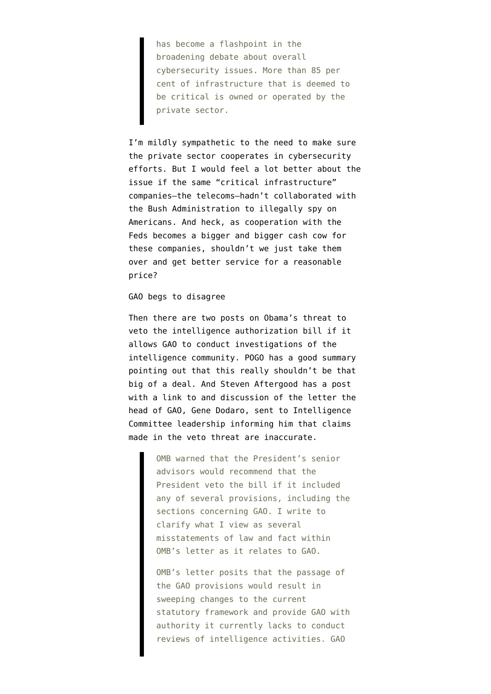has become a flashpoint in the broadening debate about overall cybersecurity issues. More than 85 per cent of infrastructure that is deemed to be critical is owned or operated by the private sector.

I'm mildly sympathetic to the need to make sure the private sector cooperates in cybersecurity efforts. But I would feel a lot better about the issue if the same "critical infrastructure" companies–the telecoms–hadn't collaborated with the Bush Administration to illegally spy on Americans. And heck, as cooperation with the Feds becomes a bigger and bigger cash cow for these companies, shouldn't we just take them over and get better service for a reasonable price?

## GAO begs to disagree

Then there are two posts on Obama's threat to veto the intelligence authorization bill if it allows GAO to conduct investigations of the intelligence community. POGO has a [good summary](http://pogoblog.typepad.com/pogo/2010/03/white-house-threatens-veto-over-gao-role-in-intel-oversight.html) pointing out that this really shouldn't be that big of a deal. And Steven Aftergood has [a post](http://www.fas.org/blog/secrecy/2010/03/gao_intel_oversight.html) with a [link to](http://www.fas.org/irp/news/2010/03/gao031810.pdf) and discussion of the letter the head of GAO, Gene Dodaro, sent to Intelligence Committee leadership informing him that claims made in the veto threat are inaccurate.

> OMB warned that the President's senior advisors would recommend that the President veto the bill if it included any of several provisions, including the sections concerning GAO. I write to clarify what I view as several misstatements of law and fact within OMB's letter as it relates to GAO.

> OMB's letter posits that the passage of the GAO provisions would result in sweeping changes to the current statutory framework and provide GAO with authority it currently lacks to conduct reviews of intelligence activities. GAO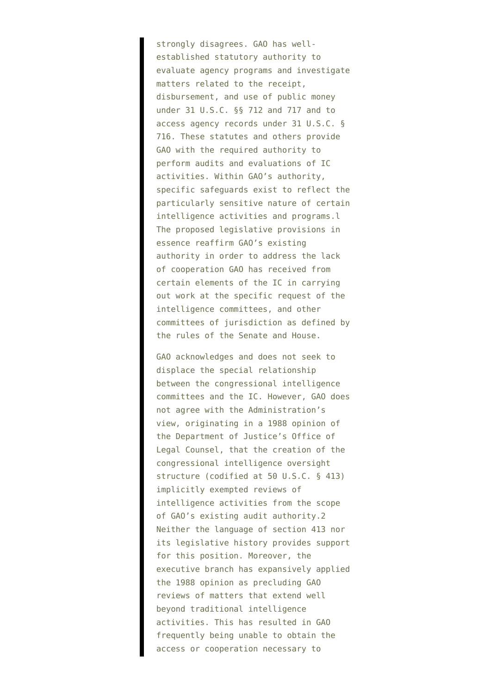strongly disagrees. GAO has wellestablished statutory authority to evaluate agency programs and investigate matters related to the receipt, disbursement, and use of public money under 31 U.S.C. §§ 712 and 717 and to access agency records under 31 U.S.C. § 716. These statutes and others provide GAO with the required authority to perform audits and evaluations of IC activities. Within GAO's authority, specific safeguards exist to reflect the particularly sensitive nature of certain intelligence activities and programs.l The proposed legislative provisions in essence reaffirm GAO's existing authority in order to address the lack of cooperation GAO has received from certain elements of the IC in carrying out work at the specific request of the intelligence committees, and other committees of jurisdiction as defined by the rules of the Senate and House.

GAO acknowledges and does not seek to displace the special relationship between the congressional intelligence committees and the IC. However, GAO does not agree with the Administration's view, originating in a 1988 opinion of the Department of Justice's Office of Legal Counsel, that the creation of the congressional intelligence oversight structure (codified at 50 U.S.C. § 413) implicitly exempted reviews of intelligence activities from the scope of GAO's existing audit authority.2 Neither the language of section 413 nor its legislative history provides support for this position. Moreover, the executive branch has expansively applied the 1988 opinion as precluding GAO reviews of matters that extend well beyond traditional intelligence activities. This has resulted in GAO frequently being unable to obtain the access or cooperation necessary to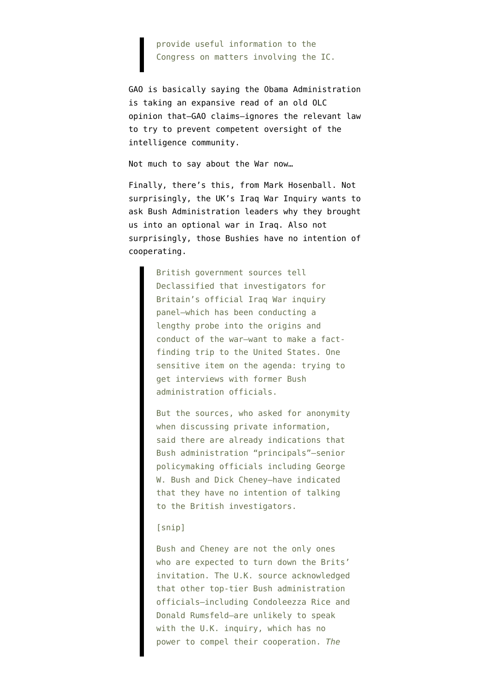## provide useful information to the Congress on matters involving the IC.

GAO is basically saying the Obama Administration is taking an expansive read of an old OLC opinion that–GAO claims–ignores the relevant law to try to prevent competent oversight of the intelligence community.

Not much to say about the War now…

Finally, there's this, from Mark Hosenball. Not surprisingly, the UK's Iraq War Inquiry wants to ask Bush Administration leaders why they brought us into an optional war in Iraq. Also not surprisingly, those Bushies have no intention of cooperating.

> British government sources tell Declassified that investigators for Britain's official Iraq War inquiry panel—which has been conducting a lengthy probe into the origins and conduct of the war—want to make a factfinding trip to the United States. One sensitive item on the agenda: trying to get interviews with former Bush administration officials.

But the sources, who asked for anonymity when discussing private information, said there are already indications that Bush administration "principals"—senior policymaking officials including George W. Bush and Dick Cheney—have indicated that they have no intention of talking to the British investigators.

## [snip]

Bush and Cheney are not the only ones who are expected to turn down the Brits' invitation. The U.K. source acknowledged that other top-tier Bush administration officials—including Condoleezza Rice and Donald Rumsfeld—are unlikely to speak with the U.K. inquiry, which has no power to compel their cooperation. *The*